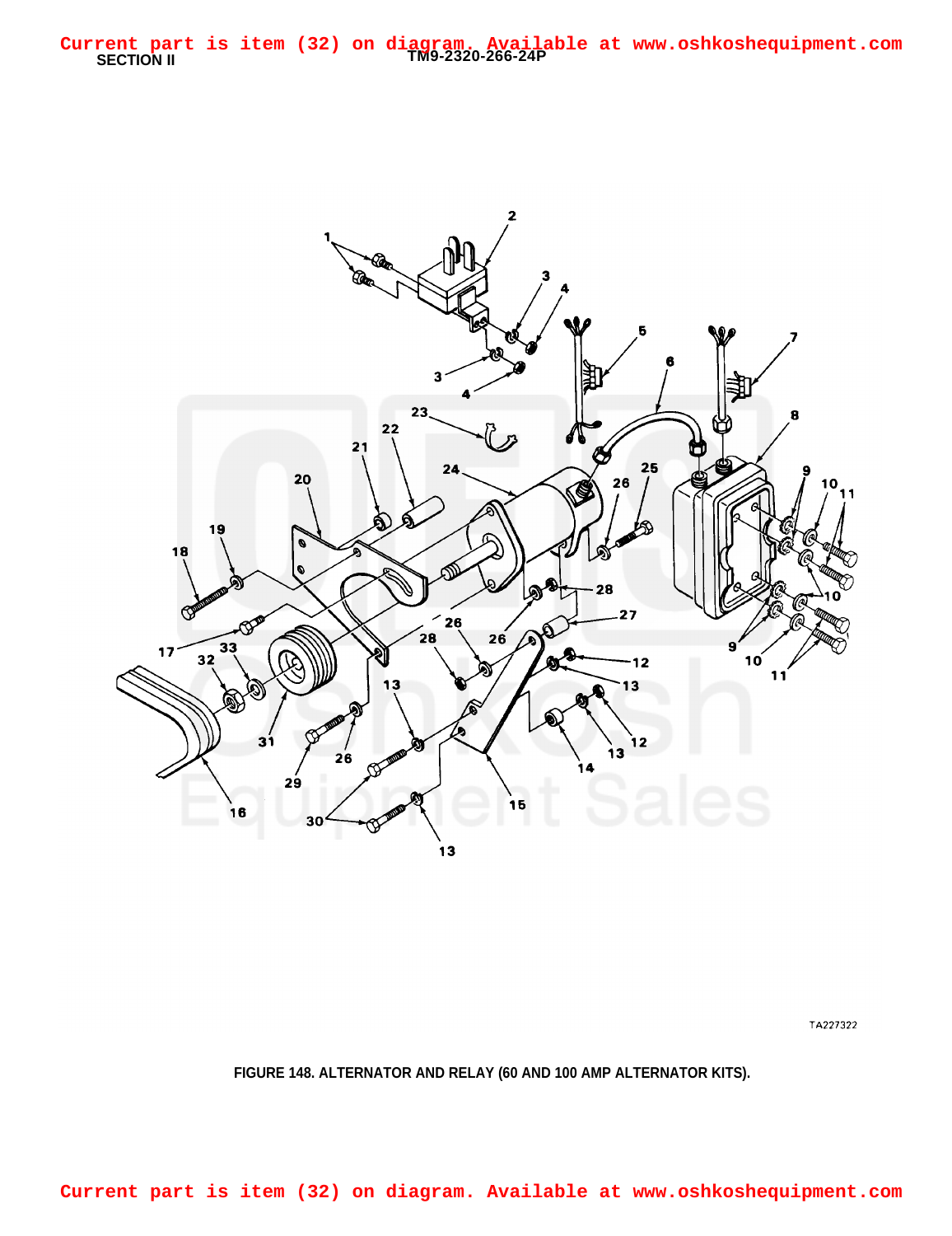

TA227322

## **FIGURE 148. ALTERNATOR AND RELAY (60 AND 100 AMP ALTERNATOR KITS).**

**Current part is item (32) on diagram. Available at www.oshkoshequipment.com**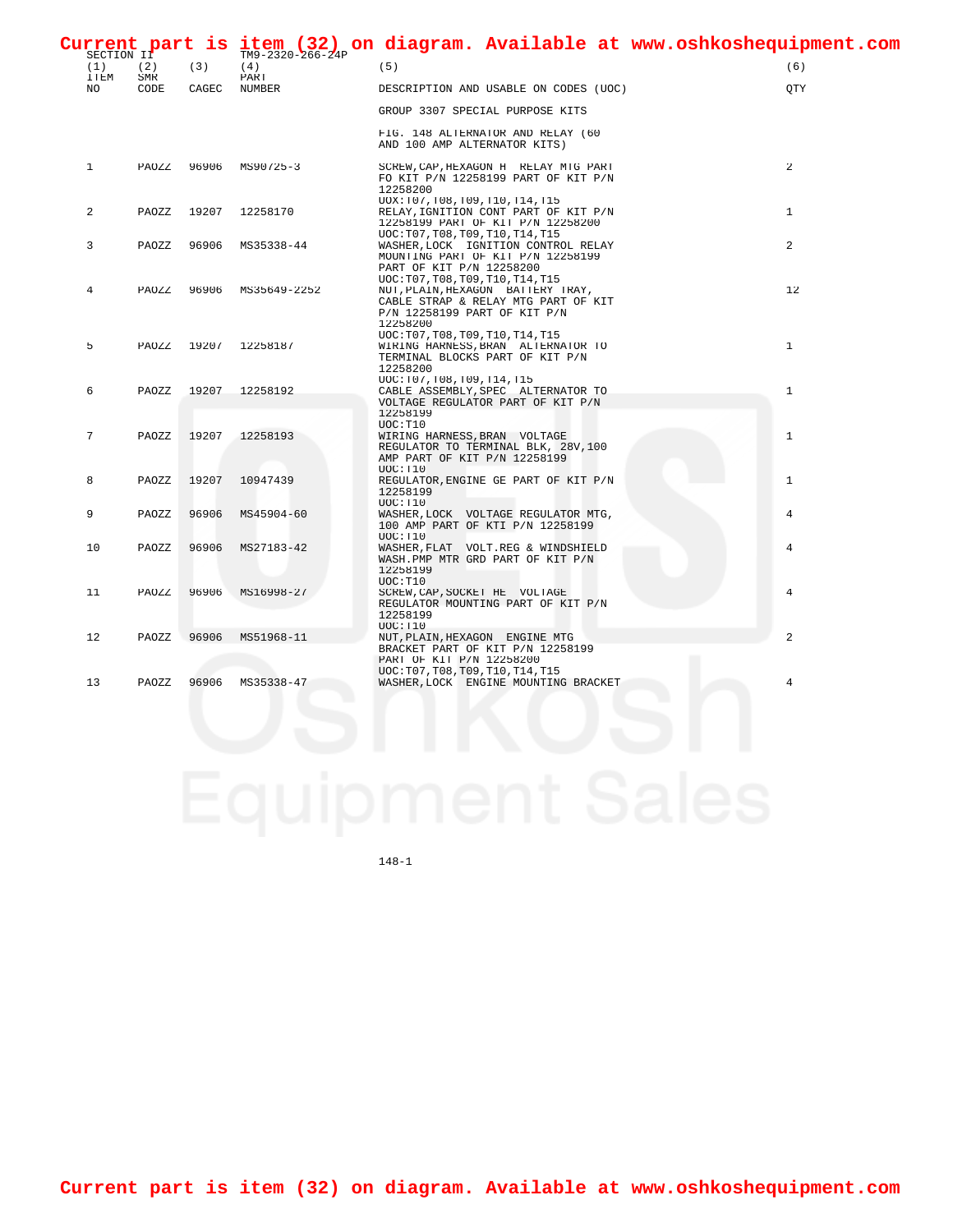| SECTION IT         |                    |       | $TM9 - 2320 - 266 - 24P$ | Current part is item (32) on diagram. Available at www.oshkoshequipment.com                                                                               |                |
|--------------------|--------------------|-------|--------------------------|-----------------------------------------------------------------------------------------------------------------------------------------------------------|----------------|
| (1)<br><b>ITEM</b> | (2)<br>${\tt SMR}$ | (3)   | (4)<br>PART              | (5)                                                                                                                                                       | (6)            |
| NO                 | CODE               | CAGEC | NUMBER                   | DESCRIPTION AND USABLE ON CODES (UOC)                                                                                                                     | OTY            |
|                    |                    |       |                          | GROUP 3307 SPECIAL PURPOSE KITS                                                                                                                           |                |
|                    |                    |       |                          | FIG. 148 ALTERNATOR AND RELAY (60<br>AND 100 AMP ALTERNATOR KITS)                                                                                         |                |
| $\mathbf{1}$       | PAOZZ              | 96906 | MS90725-3                | SCREW, CAP, HEXAGON H RELAY MTG PART<br>FO KIT P/N 12258199 PART OF KIT P/N<br>12258200                                                                   | $\overline{a}$ |
| 2                  | PAOZZ              | 19207 | 12258170                 | UOX:T07,T08,T09,T10,T14,T15<br>RELAY, IGNITION CONT PART OF KIT P/N<br>12258199 PART OF KIT P/N 12258200                                                  | $\mathbf{1}$   |
| 3                  | PAOZZ              | 96906 | MS35338-44               | UOC: T07, T08, T09, T10, T14, T15<br>WASHER, LOCK IGNITION CONTROL RELAY<br>MOUNTING PART OF KIT P/N 12258199<br>PART OF KIT P/N 12258200                 | 2              |
| 4                  | PAOZZ              | 96906 | MS35649-2252             | UOC: T07, T08, T09, T10, T14, T15<br>NUT, PLAIN, HEXAGON BATTERY TRAY,<br>CABLE STRAP & RELAY MTG PART OF KIT<br>P/N 12258199 PART OF KIT P/N<br>12258200 | 12             |
| 5                  | PAOZZ              |       | 19207 12258187           | UOC: T07, T08, T09, T10, T14, T15<br>WIRING HARNESS, BRAN ALTERNATOR TO<br>TERMINAL BLOCKS PART OF KIT P/N<br>12258200                                    | $\mathbf{1}$   |
| 6                  | PAOZZ              | 19207 | 12258192                 | UOC:T07,T08,T09,T14,T15<br>CABLE ASSEMBLY, SPEC ALTERNATOR TO<br>VOLTAGE REGULATOR PART OF KIT P/N                                                        | $\mathbf{1}$   |
| 7                  | PAOZZ              | 19207 | 12258193                 | 12258199<br>UOC: T10<br>WIRING HARNESS, BRAN VOLTAGE<br>REGULATOR TO TERMINAL BLK, 28V, 100<br>AMP PART OF KIT P/N 12258199                               | $\mathbf{1}$   |
| 8                  | PAOZZ              | 19207 | 10947439                 | UOC: T10<br>REGULATOR, ENGINE GE PART OF KIT P/N<br>12258199                                                                                              | $\mathbf{1}$   |
| 9                  | PAOZZ              | 96906 | MS45904-60               | UOC: T10<br>WASHER, LOCK VOLTAGE REGULATOR MTG,<br>100 AMP PART OF KTI P/N 12258199                                                                       | 4              |
| 10                 | PAOZZ              | 96906 | MS27183-42               | UOC: T10<br>WASHER, FLAT VOLT.REG & WINDSHIELD<br>WASH.PMP MTR GRD PART OF KIT P/N<br>12258199                                                            | 4              |
| 11                 | PAOZZ              | 96906 | MS16998-27               | UOC: T10<br>SCREW, CAP, SOCKET HE VOLTAGE<br>REGULATOR MOUNTING PART OF KIT P/N<br>12258199                                                               | 4              |
| 12                 | PAOZZ              | 96906 | MS51968-11               | UOC: T10<br>NUT, PLAIN, HEXAGON ENGINE MTG<br>BRACKET PART OF KIT P/N 12258199<br>PART OF KIT P/N 12258200                                                | $\overline{a}$ |
| 13                 | PAOZZ              | 96906 | MS35338-47               | UOC: T07, T08, T09, T10, T14, T15<br>WASHER, LOCK ENGINE MOUNTING BRACKET                                                                                 | 4              |

148-1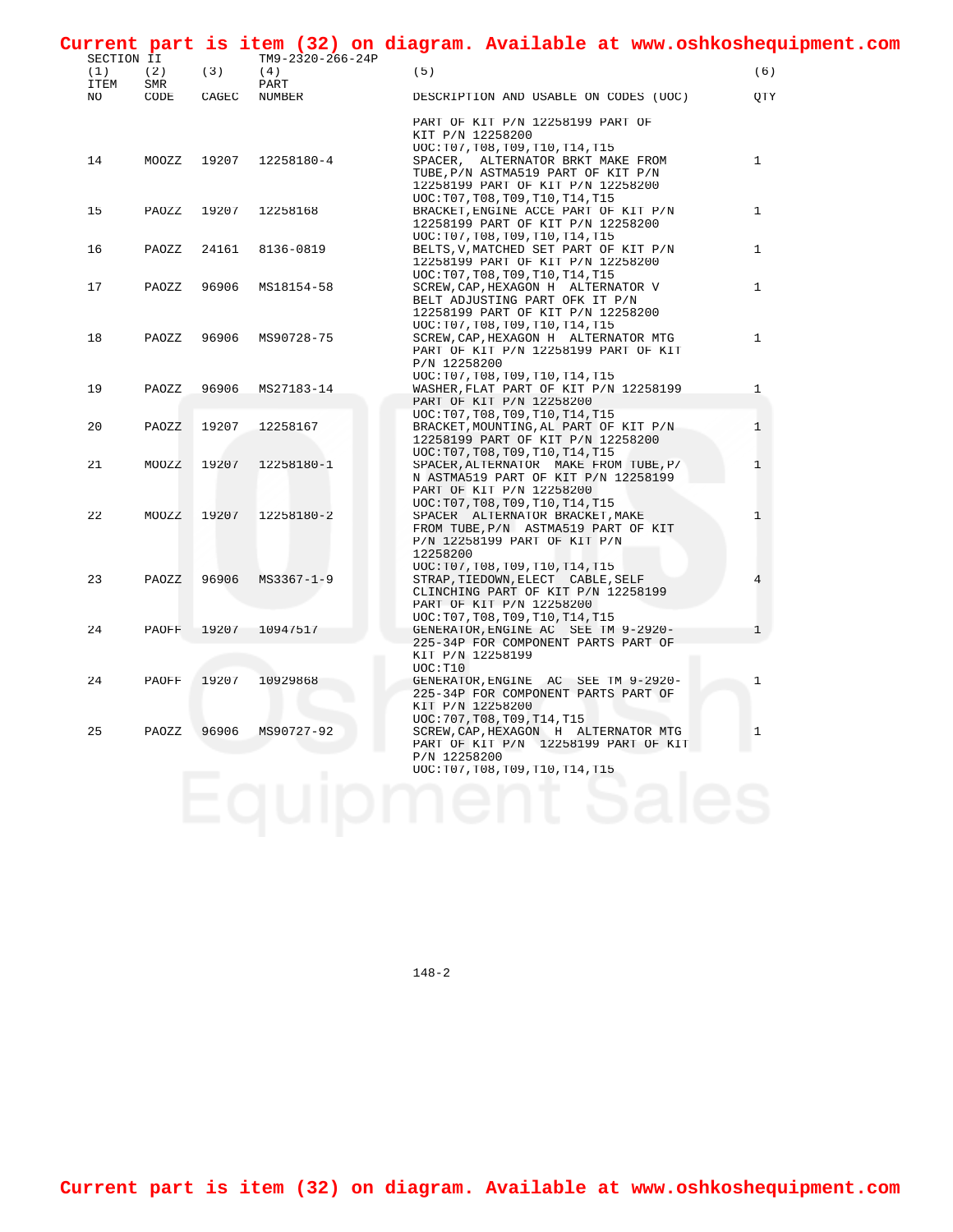| SECTION II         |            |       | $TM9 - 2320 - 266 - 24P$ | Current part is item (32) on diagram. Available at www.oshkoshequipment.com                                                                       |              |
|--------------------|------------|-------|--------------------------|---------------------------------------------------------------------------------------------------------------------------------------------------|--------------|
| (1)<br><b>ITEM</b> | (2)<br>SMR | (3)   | (4)<br>PART              | (5)                                                                                                                                               | (6)          |
| NO.                | CODE       | CAGEC | NUMBER                   | DESCRIPTION AND USABLE ON CODES (UOC)                                                                                                             | OTY          |
|                    |            |       |                          | PART OF KIT P/N 12258199 PART OF<br>KIT P/N 12258200<br>UOC: T07, T08, T09, T10, T14, T15                                                         |              |
| 14                 | MOOZZ      | 19207 | 12258180-4               | SPACER, ALTERNATOR BRKT MAKE FROM<br>TUBE, P/N ASTMA519 PART OF KIT P/N<br>12258199 PART OF KIT P/N 12258200<br>UOC: T07, T08, T09, T10, T14, T15 | $\mathbf{1}$ |
| 15                 | PAOZZ      | 19207 | 12258168                 | BRACKET, ENGINE ACCE PART OF KIT P/N<br>12258199 PART OF KIT P/N 12258200<br>UOC: T07, T08, T09, T10, T14, T15                                    | $\mathbf{1}$ |
| 16                 | PAOZZ      | 24161 | 8136-0819                | BELTS, V, MATCHED SET PART OF KIT P/N<br>12258199 PART OF KIT P/N 12258200<br>UOC: T07, T08, T09, T10, T14, T15                                   | $\mathbf{1}$ |
| 17                 | PAOZZ      | 96906 | MS18154-58               | SCREW, CAP, HEXAGON H ALTERNATOR V<br>BELT ADJUSTING PART OFK IT P/N<br>12258199 PART OF KIT P/N 12258200<br>UOC: T07, T08, T09, T10, T14, T15    | $\mathbf{1}$ |
| 18                 | PAOZZ      | 96906 | MS90728-75               | SCREW, CAP, HEXAGON H ALTERNATOR MTG<br>PART OF KIT P/N 12258199 PART OF KIT<br>P/N 12258200<br>UOC: T07, T08, T09, T10, T14, T15                 | $\mathbf{1}$ |
| 19                 | PAOZZ      | 96906 | MS27183-14               | WASHER, FLAT PART OF KIT P/N 12258199<br>PART OF KIT P/N 12258200<br>UOC: T07, T08, T09, T10, T14, T15                                            | $\mathbf{1}$ |
| 20                 | PAOZZ      | 19207 | 12258167                 | BRACKET, MOUNTING, AL PART OF KIT P/N<br>12258199 PART OF KIT P/N 12258200<br>UOC: T07, T08, T09, T10, T14, T15                                   | 1            |
| 21                 | MOOZZ      | 19207 | 12258180-1               | SPACER, ALTERNATOR MAKE FROM TUBE, P/<br>N ASTMA519 PART OF KIT P/N 12258199<br>PART OF KIT P/N 12258200<br>UOC: T07, T08, T09, T10, T14, T15     | 1            |
| 22                 | MOOZZ      | 19207 | 12258180-2               | SPACER ALTERNATOR BRACKET, MAKE<br>FROM TUBE, P/N ASTMA519 PART OF KIT<br>P/N 12258199 PART OF KIT P/N<br>12258200<br>UOC:T07,T08,T09,T10,T14,T15 | $\mathbf{1}$ |
| 23                 | PAOZZ      | 96906 | $MS3367 - 1 - 9$         | STRAP, TIEDOWN, ELECT CABLE, SELF<br>CLINCHING PART OF KIT P/N 12258199<br>PART OF KIT P/N 12258200<br>UOC: T07, T08, T09, T10, T14, T15          | 4            |
| 24                 | PAOFF      |       | 19207 10947517           | GENERATOR, ENGINE AC SEE TM 9-2920-<br>225-34P FOR COMPONENT PARTS PART OF<br>KIT P/N 12258199<br>UOC: T10                                        | 1            |
| 24                 | PAOFF      | 19207 | 10929868                 | GENERATOR, ENGINE AC SEE TM 9-2920-<br>225-34P FOR COMPONENT PARTS PART OF<br>KIT P/N 12258200<br>UOC: 707, T08, T09, T14, T15                    | $\mathbf{1}$ |
| 25                 | PAOZZ      | 96906 | MS90727-92               | SCREW, CAP, HEXAGON H ALTERNATOR MTG<br>PART OF KIT P/N 12258199 PART OF KIT<br>P/N 12258200<br>UOC: T07, T08, T09, T10, T14, T15                 | $\mathbf{1}$ |

148-2